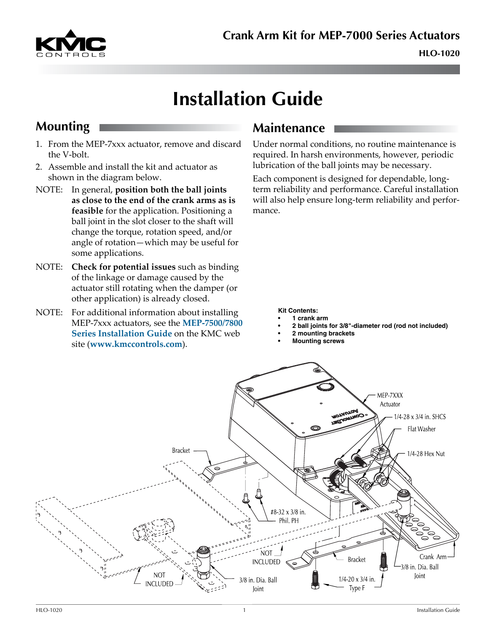

# **Installation Guide**

# **Mounting**

- 1. From the MEP-7xxx actuator, remove and discard the V-bolt.
- 2. Assemble and install the kit and actuator as shown in the diagram below.
- NOTE: In general, **position both the ball joints as close to the end of the crank arms as is feasible** for the application. Positioning a ball joint in the slot closer to the shaft will change the torque, rotation speed, and/or angle of rotation—which may be useful for some applications.
- NOTE: **Check for potential issues** such as binding of the linkage or damage caused by the actuator still rotating when the damper (or other application) is already closed.
- NOTE: For additional information about installing MEP-7xxx actuators, see the **[MEP-7500/7800](http://www.kmccontrols.com/io/MEP-7501)  [Series Installation Guide](http://www.kmccontrols.com/io/MEP-7501)** on the KMC web site (**[www.kmccontrols.com](http://www.kmccontrols.com/)**).

#### **Maintenance**

Under normal conditions, no routine maintenance is required. In harsh environments, however, periodic lubrication of the ball joints may be necessary.

Each component is designed for dependable, longterm reliability and performance. Careful installation will also help ensure long-term reliability and performance.

**Kit Contents:**

- **• 1 crank arm**
- **• 2 ball joints for 3/8"-diameter rod (rod not included)**
- **• 2 mounting brackets**
- **• Mounting screws**